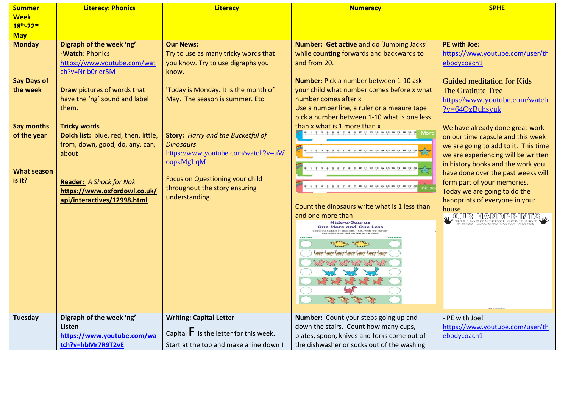| <b>Summer</b>      | <b>Literacy: Phonics</b>             | Literacy                                         | <b>Numeracy</b>                                                                            | <b>SPHE</b>                                                                                                     |
|--------------------|--------------------------------------|--------------------------------------------------|--------------------------------------------------------------------------------------------|-----------------------------------------------------------------------------------------------------------------|
| <b>Week</b>        |                                      |                                                  |                                                                                            |                                                                                                                 |
| 18th-22nd          |                                      |                                                  |                                                                                            |                                                                                                                 |
| <b>May</b>         |                                      |                                                  |                                                                                            |                                                                                                                 |
| <b>Monday</b>      | Digraph of the week 'ng'             | <b>Our News:</b>                                 | Number: Get active and do 'Jumping Jacks'                                                  | <b>PE with Joe:</b>                                                                                             |
|                    | -Watch: Phonics                      | Try to use as many tricky words that             | while counting forwards and backwards to                                                   | https://www.youtube.com/user/th                                                                                 |
|                    | https://www.youtube.com/wat          | you know. Try to use digraphs you                | and from 20.                                                                               | ebodycoach1                                                                                                     |
|                    | ch?v=Nrjb0rler5M                     | know.                                            |                                                                                            |                                                                                                                 |
| <b>Say Days of</b> |                                      |                                                  | Number: Pick a number between 1-10 ask                                                     | Guided meditation for Kids                                                                                      |
| the week           | Draw pictures of words that          | 'Today is Monday. It is the month of             | your child what number comes before x what                                                 | The Gratitute Tree                                                                                              |
|                    | have the 'ng' sound and label        | May. The season is summer. Etc                   | number comes after x                                                                       | https://www.youtube.com/watch                                                                                   |
|                    | them.                                |                                                  | Use a number line, a ruler or a meaure tape<br>pick a number between 1-10 what is one less | $2v = 64QzBu$ hsyuk                                                                                             |
| <b>Say months</b>  | <b>Tricky words</b>                  |                                                  | than x what is 1 more than x                                                               |                                                                                                                 |
| of the year        | Dolch list: blue, red, then, little, | <b>Story: Harry and the Bucketful of</b>         |                                                                                            | We have already done great work                                                                                 |
|                    | from, down, good, do, any, can,      | <b>Dinosaurs</b>                                 |                                                                                            | on our time capsule and this week                                                                               |
|                    | about                                | https://www.youtube.com/watch?v=uW               |                                                                                            | we are going to add to it. This time                                                                            |
|                    |                                      | oopkMgLqM                                        |                                                                                            | we are experiencing will be written<br>in history books and the work you                                        |
| <b>What season</b> |                                      |                                                  |                                                                                            | have done over the past weeks will                                                                              |
| is it?             | <b>Reader:</b> A Shock for Nok       | Focus on Questioning your child                  |                                                                                            | form part of your memories.                                                                                     |
|                    | https://www.oxfordowl.co.uk/         | throughout the story ensuring                    |                                                                                            | Today we are going to do the                                                                                    |
|                    | api/interactives/12998.html          | understanding.                                   |                                                                                            | handprints of everyone in your                                                                                  |
|                    |                                      |                                                  | Count the dinosaurs write what is 1 less than                                              | house.                                                                                                          |
|                    |                                      |                                                  | and one more than                                                                          | OUTRE HATANDPRINTS<br>"PRINT THE HANDS OF ALL THE PEOPLE LIVING IN YOUR HOME" WHO THE RESPONDED ON A MOUR HOME" |
|                    |                                      |                                                  | Hide-a-Saurus<br><b>One More and One Less</b>                                              |                                                                                                                 |
|                    |                                      |                                                  |                                                                                            |                                                                                                                 |
|                    |                                      |                                                  | $T$ ed $\overline{Y}$                                                                      |                                                                                                                 |
|                    |                                      |                                                  | Compo Compo Compo Compo Compo                                                              |                                                                                                                 |
|                    |                                      |                                                  | alas das das                                                                               |                                                                                                                 |
|                    |                                      |                                                  |                                                                                            |                                                                                                                 |
|                    |                                      |                                                  | $x^2$ $x^3$ $x^2$                                                                          |                                                                                                                 |
|                    |                                      |                                                  |                                                                                            |                                                                                                                 |
|                    |                                      |                                                  |                                                                                            |                                                                                                                 |
|                    |                                      |                                                  |                                                                                            |                                                                                                                 |
| Tuesday            | Digraph of the week 'ng'<br>Listen   | <b>Writing: Capital Letter</b>                   | Number: Count your steps going up and<br>down the stairs. Count how many cups,             | - PE with Joe!<br>https://www.youtube.com/user/th                                                               |
|                    | https://www.youtube.com/wa           | Capital $\mathbf F$ is the letter for this week. | plates, spoon, knives and forks come out of                                                | ebodycoach1                                                                                                     |
|                    | tch?v=hbMr7R9T2vE                    | Start at the top and make a line down I          | the dishwasher or socks out of the washing                                                 |                                                                                                                 |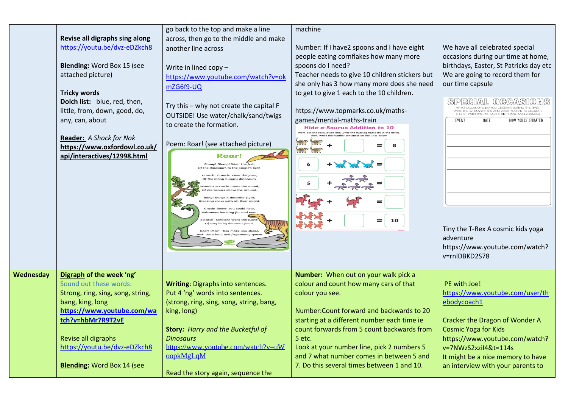|           |                                   | go back to the top and make a line                                  | machine                                                                                            |                                                                                                                    |
|-----------|-----------------------------------|---------------------------------------------------------------------|----------------------------------------------------------------------------------------------------|--------------------------------------------------------------------------------------------------------------------|
|           | Revise all digraphs sing along    | across, then go to the middle and make                              |                                                                                                    |                                                                                                                    |
|           | https://youtu.be/dvz-eDZkch8      | another line across                                                 | Number: If I have2 spoons and I have eight                                                         | We have all celebrated special                                                                                     |
|           |                                   |                                                                     | people eating cornflakes how many more                                                             | occasions during our time at home,                                                                                 |
|           | <b>Blending:</b> Word Box 15 (see | Write in lined copy -                                               | spoons do I need?                                                                                  | birthdays, Easter, St Patricks day etc                                                                             |
|           | attached picture)                 | https://www.youtube.com/watch?v=ok                                  | Teacher needs to give 10 children stickers but                                                     | We are going to record them for                                                                                    |
|           |                                   | mZG6f9-UQ                                                           | she only has 3 how many more does she need                                                         | our time capsule                                                                                                   |
|           | <b>Tricky words</b>               |                                                                     | to get to give 1 each to the 10 children.                                                          |                                                                                                                    |
|           | Dolch list: blue, red, then,      | Try this - why not create the capital F                             |                                                                                                    |                                                                                                                    |
|           | little, from, down, good, do,     | OUTSIDE! Use water/chalk/sand/twigs                                 | https://www.topmarks.co.uk/maths-                                                                  | VRITE THE LIST DOWN HERE AND WHAT YOU DID TO CELEBRAT<br>(E.G. ST. PATRICK'S DAY, EASTER, BIRTHDAYS, ANNIVERSARIES |
|           | any, can, about                   | to create the formation.                                            | games/mental-maths-train                                                                           | EVENT<br>DATE<br>HOW YOU CELEBRATED                                                                                |
|           |                                   |                                                                     | Hide-a-Saurus Addition to 10<br>ork out the calculation and write the missing numbers in the boxe: |                                                                                                                    |
|           | <b>Reader:</b> A Shock for Nok    |                                                                     | hen, write the number sentences on the lines belov                                                 |                                                                                                                    |
|           | https://www.oxfordowl.co.uk/      | Poem: Roar! (see attached picture)                                  |                                                                                                    |                                                                                                                    |
|           | api/interactives/12998.html       | Roar!                                                               |                                                                                                    |                                                                                                                    |
|           |                                   | dinosaurs to the jungle's beat                                      |                                                                                                    |                                                                                                                    |
|           |                                   | Crunch! Crunch! Went the Jaws                                       |                                                                                                    |                                                                                                                    |
|           |                                   |                                                                     |                                                                                                    |                                                                                                                    |
|           |                                   |                                                                     |                                                                                                    |                                                                                                                    |
|           |                                   | reaking rocks with all their migh                                   |                                                                                                    |                                                                                                                    |
|           |                                   | Crash! Boom! You could hear<br><b>olcanoes bursting far and ned</b> |                                                                                                    |                                                                                                                    |
|           |                                   | atch! Scratch! Went the clay<br>Of tiny baby dinosaur pay           | $=$<br>10                                                                                          |                                                                                                                    |
|           |                                   | Roar! They make you shake                                           |                                                                                                    | Tiny the T-Rex A cosmic kids yoga                                                                                  |
|           |                                   |                                                                     |                                                                                                    | adventure                                                                                                          |
|           |                                   |                                                                     |                                                                                                    | https://www.youtube.com/watch?                                                                                     |
|           |                                   |                                                                     |                                                                                                    | v=rnIDBKD2S78                                                                                                      |
|           |                                   |                                                                     |                                                                                                    |                                                                                                                    |
| Wednesday | Digraph of the week 'ng'          |                                                                     | Number: When out on your walk pick a                                                               |                                                                                                                    |
|           | Sound out these words:            | Writing: Digraphs into sentences.                                   | colour and count how many cars of that                                                             | PE with Joe!                                                                                                       |
|           | Strong, ring, sing, song, string, | Put 4 'ng' words into sentences.                                    | colour you see.                                                                                    | https://www.youtube.com/user/th                                                                                    |
|           | bang, king, long                  | (strong, ring, sing, song, string, bang,                            |                                                                                                    | ebodycoach1                                                                                                        |
|           | https://www.youtube.com/wa        | king, long)                                                         | Number: Count forward and backwards to 20                                                          |                                                                                                                    |
|           | tch?v=hbMr7R9T2vE                 |                                                                     | starting at a different number each time ie                                                        | Cracker the Dragon of Wonder A                                                                                     |
|           |                                   | <b>Story: Harry and the Bucketful of</b>                            | count forwards from 5 count backwards from                                                         | <b>Cosmic Yoga for Kids</b>                                                                                        |
|           | Revise all digraphs               | <b>Dinosaurs</b>                                                    | 5 etc.                                                                                             | https://www.youtube.com/watch?                                                                                     |
|           | https://youtu.be/dvz-eDZkch8      | https://www.youtube.com/watch?v=uW                                  | Look at your number line, pick 2 numbers 5                                                         | v=7NWzS2xzil4&t=114s                                                                                               |
|           |                                   | oopkMgLqM                                                           | and 7 what number comes in between 5 and                                                           | It might be a nice memory to have                                                                                  |
|           | <b>Blending: Word Box 14 (see</b> |                                                                     | 7. Do this several times between 1 and 10.                                                         | an interview with your parents to                                                                                  |
|           |                                   | Read the story again, sequence the                                  |                                                                                                    |                                                                                                                    |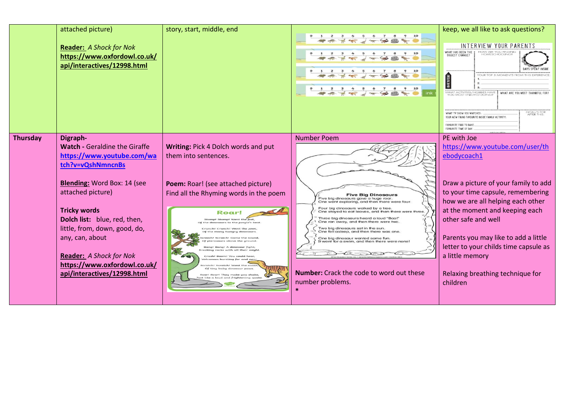|                 | attached picture)<br><b>Reader:</b> A Shock for Nok<br>https://www.oxfordowl.co.uk/<br>api/interactives/12998.html                                                                                                                                                                                                                                                         | story, start, middle, end                                                                                                                                                                                                                                                                                                                                                                                                                                                               | ink                                                                                                                                                                                                                                                                                                                                                                                                                                                                                                                                                                      | keep, we all like to ask questions?<br>INTERVIEW YOUR PARENTS<br><b>TOW ARE YOU FINDING</b><br>WHAT HAS BEEN THE<br><b>HOMESCHOOLING?</b><br><b>BIGGEST CHANGE?</b><br>OUR TOP 3 MOMENTS FROM THIS EXPERIE<br><b>WHAT ACTIVITIES/HOBBIES HAVE</b><br>YOU MOST ENJOYED DOING?<br>WHAT ARE YOU MOST THANKFUL FOR                                                                               |
|-----------------|----------------------------------------------------------------------------------------------------------------------------------------------------------------------------------------------------------------------------------------------------------------------------------------------------------------------------------------------------------------------------|-----------------------------------------------------------------------------------------------------------------------------------------------------------------------------------------------------------------------------------------------------------------------------------------------------------------------------------------------------------------------------------------------------------------------------------------------------------------------------------------|--------------------------------------------------------------------------------------------------------------------------------------------------------------------------------------------------------------------------------------------------------------------------------------------------------------------------------------------------------------------------------------------------------------------------------------------------------------------------------------------------------------------------------------------------------------------------|----------------------------------------------------------------------------------------------------------------------------------------------------------------------------------------------------------------------------------------------------------------------------------------------------------------------------------------------------------------------------------------------|
|                 |                                                                                                                                                                                                                                                                                                                                                                            |                                                                                                                                                                                                                                                                                                                                                                                                                                                                                         |                                                                                                                                                                                                                                                                                                                                                                                                                                                                                                                                                                          | GOAL/S FOR<br>AFTER THIS:<br>WHAT TV SHOW YOU WATCHED<br>YOUR NEW FOUND FAVOURITE INSIDE FAMILY ACTIVITY<br><b>FAVOURITE FOOD TO BAK</b><br>FOVOURITE TIME OF DAY                                                                                                                                                                                                                            |
| <b>Thursday</b> | Digraph-<br><b>Watch - Geraldine the Giraffe</b><br>https://www.youtube.com/wa<br>tch?v=vQshNmncnBs<br><b>Blending: Word Box: 14 (see</b><br>attached picture)<br><b>Tricky words</b><br>Dolch list: blue, red, then,<br>little, from, down, good, do,<br>any, can, about<br><b>Reader:</b> A Shock for Nok<br>https://www.oxfordowl.co.uk/<br>api/interactives/12998.html | Writing: Pick 4 Dolch words and put<br>them into sentences.<br>Poem: Roar! (see attached picture)<br>Find all the Rhyming words in the poem<br><b>Roar!</b><br>Stomp! Stomp! Went the feet<br>Of the dinosaurs to the jungle's beat<br>Crunch! Crunch! Went the<br><b>Bang! Bang! A dinosaur</b><br>king rocks with all their might<br>Crash! Boom! You could hear<br>cratch! Scratch! Went the cl<br>Of tinu babu dinosaur<br>Roar! Roar! They make you shake<br>$\blacktriangleright$ | <b>Number Poem</b><br><b>Five Big Dinosaurs</b><br>Five big dinosaurs gave a huge roar.<br>One went exploring, and then there were four<br>Four big dinosaurs walked by a tree.<br>One stayed to eat leaves, and then there were three<br>Three big dinosaurs heard a loud "Boo!"<br>One ran away, and then there were two.<br>Two big dinosaurs sat in the sun.<br>One fell asleep, and then there was one.<br>One big dinosaur wanted some fun.<br>It went for a swim, and then there were none<br><b>Number:</b> Crack the code to word out these<br>number problems. | PE with Joe<br>https://www.youtube.com/user/th<br>ebodycoach1<br>Draw a picture of your family to add<br>to your time capsule, remembering<br>how we are all helping each other<br>at the moment and keeping each<br>other safe and well<br>Parents you may like to add a little<br>letter to your childs time capsule as<br>a little memory<br>Relaxing breathing technique for<br>children |